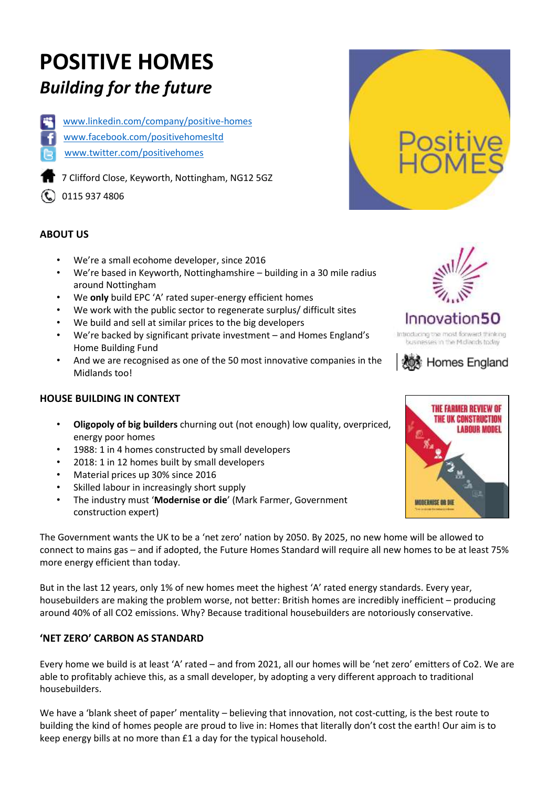# **POSITIVE HOMES** *Building for the future*



[www.linkedin.com/company/positive-homes](http://www.linkedin.com/company/positive-homes)

- [www.facebook.com/positivehomesltd](http://www.facebook.com/positivehomesltd)
- [www.twitter.com/positivehomes](http://www.twitter.com/positivehomes)

7 Clifford Close, Keyworth, Nottingham, NG12 5GZ

**(C)** 0115 937 4806

### **ABOUT US**

- We're a small ecohome developer, since 2016
- We're based in Keyworth, Nottinghamshire building in a 30 mile radius around Nottingham
- We **only** build EPC 'A' rated super-energy efficient homes
- We work with the public sector to regenerate surplus/ difficult sites
- We build and sell at similar prices to the big developers
- We're backed by significant private investment and Homes England's Home Building Fund
- And we are recognised as one of the 50 most innovative companies in the Midlands too!

### **HOUSE BUILDING IN CONTEXT**

- **Oligopoly of big builders** churning out (not enough) low quality, overpriced, energy poor homes
- 1988: 1 in 4 homes constructed by small developers
- 2018: 1 in 12 homes built by small developers
- Material prices up 30% since 2016
- Skilled labour in increasingly short supply
- The industry must '**Modernise or die**' (Mark Farmer, Government construction expert)

The Government wants the UK to be a 'net zero' nation by 2050. By 2025, no new home will be allowed to connect to mains gas – and if adopted, the Future Homes Standard will require all new homes to be at least 75% more energy efficient than today.

But in the last 12 years, only 1% of new homes meet the highest 'A' rated energy standards. Every year, housebuilders are making the problem worse, not better: British homes are incredibly inefficient – producing around 40% of all CO2 emissions. Why? Because traditional housebuilders are notoriously conservative.

### **'NET ZERO' CARBON AS STANDARD**

Every home we build is at least 'A' rated – and from 2021, all our homes will be 'net zero' emitters of Co2. We are able to profitably achieve this, as a small developer, by adopting a very different approach to traditional housebuilders.

We have a 'blank sheet of paper' mentality – believing that innovation, not cost-cutting, is the best route to building the kind of homes people are proud to live in: Homes that literally don't cost the earth! Our aim is to keep energy bills at no more than £1 a day for the typical household.





# Innovation50

Introducing the most forward thinking businesses in the Midlands today



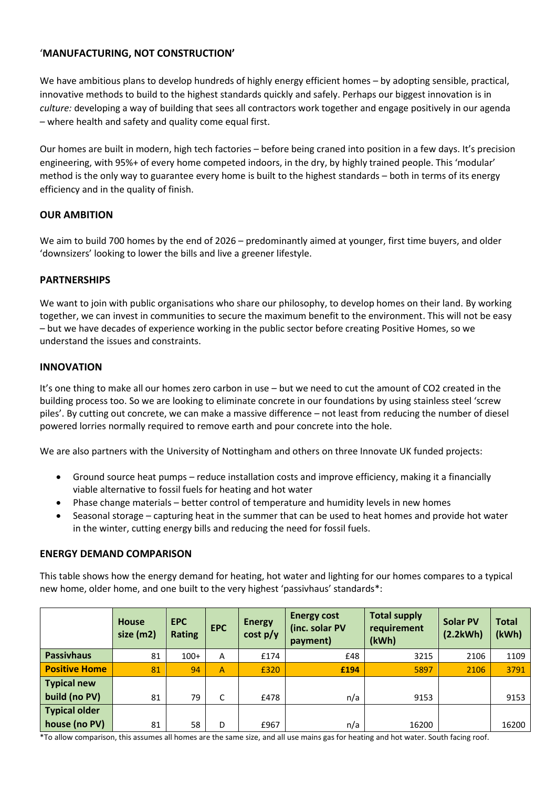#### '**MANUFACTURING, NOT CONSTRUCTION'**

We have ambitious plans to develop hundreds of highly energy efficient homes – by adopting sensible, practical, innovative methods to build to the highest standards quickly and safely. Perhaps our biggest innovation is in *culture:* developing a way of building that sees all contractors work together and engage positively in our agenda – where health and safety and quality come equal first.

Our homes are built in modern, high tech factories – before being craned into position in a few days. It's precision engineering, with 95%+ of every home competed indoors, in the dry, by highly trained people. This 'modular' method is the only way to guarantee every home is built to the highest standards – both in terms of its energy efficiency and in the quality of finish.

#### **OUR AMBITION**

We aim to build 700 homes by the end of 2026 – predominantly aimed at younger, first time buyers, and older 'downsizers' looking to lower the bills and live a greener lifestyle.

#### **PARTNERSHIPS**

We want to join with public organisations who share our philosophy, to develop homes on their land. By working together, we can invest in communities to secure the maximum benefit to the environment. This will not be easy – but we have decades of experience working in the public sector before creating Positive Homes, so we understand the issues and constraints.

#### **INNOVATION**

It's one thing to make all our homes zero carbon in use – but we need to cut the amount of CO2 created in the building process too. So we are looking to eliminate concrete in our foundations by using stainless steel 'screw piles'. By cutting out concrete, we can make a massive difference – not least from reducing the number of diesel powered lorries normally required to remove earth and pour concrete into the hole.

We are also partners with the University of Nottingham and others on three Innovate UK funded projects:

- Ground source heat pumps reduce installation costs and improve efficiency, making it a financially viable alternative to fossil fuels for heating and hot water
- Phase change materials better control of temperature and humidity levels in new homes
- Seasonal storage capturing heat in the summer that can be used to heat homes and provide hot water in the winter, cutting energy bills and reducing the need for fossil fuels.

#### **ENERGY DEMAND COMPARISON**

This table shows how the energy demand for heating, hot water and lighting for our homes compares to a typical new home, older home, and one built to the very highest 'passivhaus' standards\*:

|                      | <b>House</b><br>size (m2) | <b>EPC</b><br>Rating | <b>EPC</b>   | <b>Energy</b><br>cost p/y | <b>Energy cost</b><br>(inc. solar PV<br>payment) | <b>Total supply</b><br>requirement<br>(kWh) | <b>Solar PV</b><br>(2.2kWh) | <b>Total</b><br>(kWh) |
|----------------------|---------------------------|----------------------|--------------|---------------------------|--------------------------------------------------|---------------------------------------------|-----------------------------|-----------------------|
| <b>Passivhaus</b>    | 81                        | $100+$               | A            | £174                      | £48                                              | 3215                                        | 2106                        | 1109                  |
| <b>Positive Home</b> | 81                        | 94                   | $\mathsf{A}$ | £320                      | £194                                             | 5897                                        | 2106                        | 3791                  |
| <b>Typical new</b>   |                           |                      |              |                           |                                                  |                                             |                             |                       |
| build (no PV)        | 81                        | 79                   | C            | £478                      | n/a                                              | 9153                                        |                             | 9153                  |
| <b>Typical older</b> |                           |                      |              |                           |                                                  |                                             |                             |                       |
| house (no PV)        | 81                        | 58                   | D            | £967                      | n/a                                              | 16200                                       |                             | 16200                 |

\*To allow comparison, this assumes all homes are the same size, and all use mains gas for heating and hot water. South facing roof.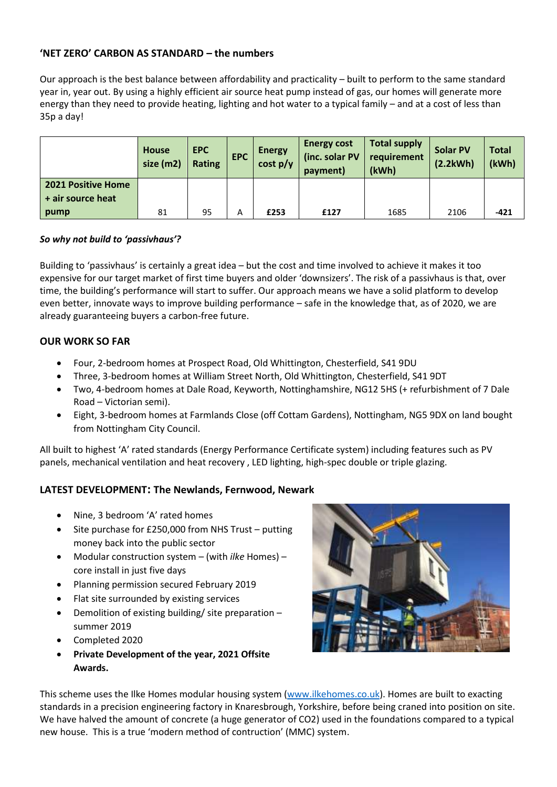#### **'NET ZERO' CARBON AS STANDARD – the numbers**

Our approach is the best balance between affordability and practicality – built to perform to the same standard year in, year out. By using a highly efficient air source heat pump instead of gas, our homes will generate more energy than they need to provide heating, lighting and hot water to a typical family – and at a cost of less than 35p a day!

|                           | House<br>size (m2) | <b>EPC</b><br><b>Rating</b> | <b>EPC</b> | <b>Energy</b><br>cost p/y | <b>Energy cost</b><br>(inc. solar PV<br>payment) | <b>Total supply</b><br>requirement<br>(kWh) | <b>Solar PV</b><br>(2.2kWh) | <b>Total</b><br>(kWh) |
|---------------------------|--------------------|-----------------------------|------------|---------------------------|--------------------------------------------------|---------------------------------------------|-----------------------------|-----------------------|
| <b>2021 Positive Home</b> |                    |                             |            |                           |                                                  |                                             |                             |                       |
| + air source heat         |                    |                             |            |                           |                                                  |                                             |                             |                       |
| pump                      | 81                 | 95                          | Α          | £253                      | £127                                             | 1685                                        | 2106                        | $-421$                |

#### *So why not build to 'passivhaus'?*

Building to 'passivhaus' is certainly a great idea – but the cost and time involved to achieve it makes it too expensive for our target market of first time buyers and older 'downsizers'. The risk of a passivhaus is that, over time, the building's performance will start to suffer. Our approach means we have a solid platform to develop even better, innovate ways to improve building performance – safe in the knowledge that, as of 2020, we are already guaranteeing buyers a carbon-free future.

#### **OUR WORK SO FAR**

- Four, 2-bedroom homes at Prospect Road, Old Whittington, Chesterfield, S41 9DU
- Three, 3-bedroom homes at William Street North, Old Whittington, Chesterfield, S41 9DT
- Two, 4-bedroom homes at Dale Road, Keyworth, Nottinghamshire, NG12 5HS (+ refurbishment of 7 Dale Road – Victorian semi).
- Eight, 3-bedroom homes at Farmlands Close (off Cottam Gardens), Nottingham, NG5 9DX on land bought from Nottingham City Council.

All built to highest 'A' rated standards (Energy Performance Certificate system) including features such as PV panels, mechanical ventilation and heat recovery , LED lighting, high-spec double or triple glazing.

#### **LATEST DEVELOPMENT: The Newlands, Fernwood, Newark**

- Nine, 3 bedroom 'A' rated homes
- Site purchase for £250,000 from NHS Trust putting money back into the public sector
- Modular construction system (with *ilke* Homes) core install in just five days
- Planning permission secured February 2019
- Flat site surrounded by existing services
- Demolition of existing building/ site preparation summer 2019
- Completed 2020
- **Private Development of the year, 2021 Offsite Awards.**



This scheme uses the Ilke Homes modular housing system [\(www.ilkehomes.co.uk\)](http://www.ilkehomes.co.uk/). Homes are built to exacting standards in a precision engineering factory in Knaresbrough, Yorkshire, before being craned into position on site. We have halved the amount of concrete (a huge generator of CO2) used in the foundations compared to a typical new house. This is a true 'modern method of contruction' (MMC) system.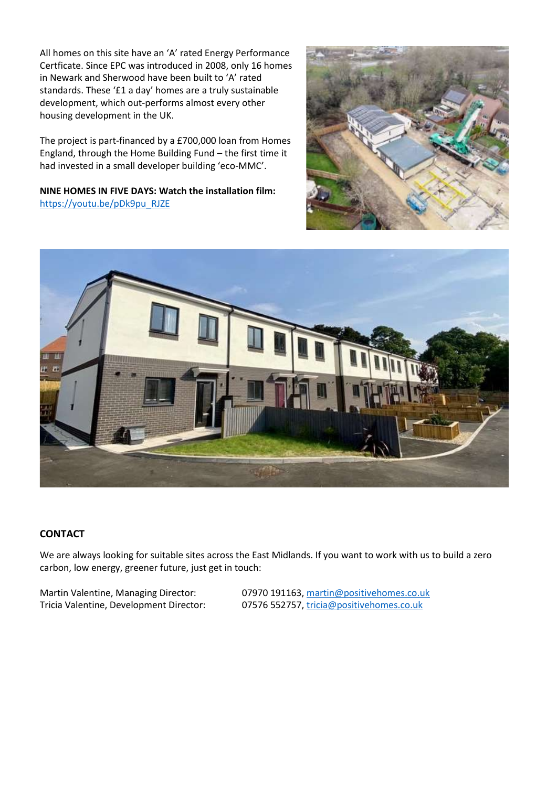All homes on this site have an 'A' rated Energy Performance Certficate. Since EPC was introduced in 2008, only 16 homes in Newark and Sherwood have been built to 'A' rated standards. These '£1 a day' homes are a truly sustainable development, which out-performs almost every other housing development in the UK.

The project is part-financed by a £700,000 loan from Homes England, through the Home Building Fund – the first time it had invested in a small developer building 'eco-MMC'.

**NINE HOMES IN FIVE DAYS: Watch the installation film:**  [https://youtu.be/pDk9pu\\_RJZE](https://youtu.be/pDk9pu_RJZE)





#### **CONTACT**

We are always looking for suitable sites across the East Midlands. If you want to work with us to build a zero carbon, low energy, greener future, just get in touch:

Martin Valentine, Managing Director: 07970 191163[, martin@positivehomes.co.uk](mailto:martin@positivehomes.co.uk)

Tricia Valentine, Development Director: 07576 552757[, tricia@positivehomes.co.uk](mailto:tricia@positivehomes.co.uk)